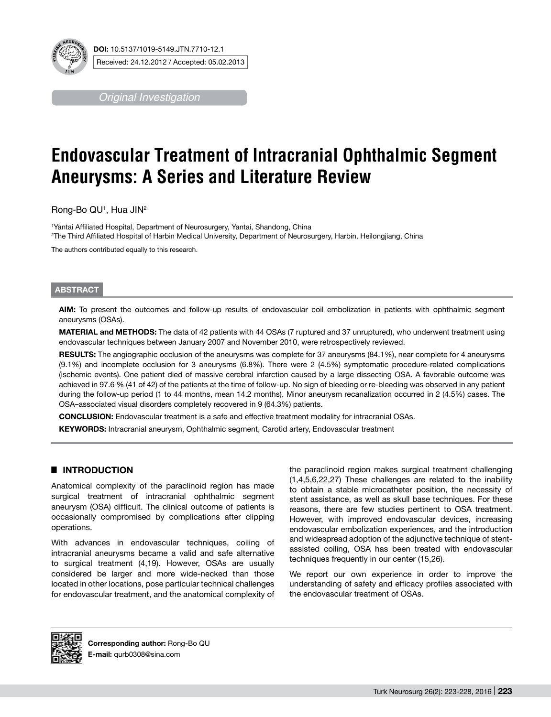

*Original Investigation*

# **Endovascular Treatment of Intracranial Ophthalmic Segment Aneurysms: A Series and Literature Review**

Rong-Bo QU1 , Hua JIN2

1 Yantai Affiliated Hospital, Department of Neurosurgery, Yantai, Shandong, China 2 The Third Affiliated Hospital of Harbin Medical University, Department of Neurosurgery, Harbin, Heilongjiang, China

The authors contributed equally to this research.

#### **ABSTRACT**

**AIm:** To present the outcomes and follow-up results of endovascular coil embolization in patients with ophthalmic segment aneurysms (OSAs).

**MATERIAL and METHODS:** The data of 42 patients with 44 OSAs (7 ruptured and 37 unruptured), who underwent treatment using endovascular techniques between January 2007 and November 2010, were retrospectively reviewed.

RESULTS: The angiographic occlusion of the aneurysms was complete for 37 aneurysms (84.1%), near complete for 4 aneurysms (9.1%) and incomplete occlusion for 3 aneurysms (6.8%). There were 2 (4.5%) symptomatic procedure-related complications (ischemic events). One patient died of massive cerebral infarction caused by a large dissecting OSA. A favorable outcome was achieved in 97.6 % (41 of 42) of the patients at the time of follow-up. No sign of bleeding or re-bleeding was observed in any patient during the follow-up period (1 to 44 months, mean 14.2 months). Minor aneurysm recanalization occurred in 2 (4.5%) cases. The OSA–associated visual disorders completely recovered in 9 (64.3%) patients.

**ConclusIon:** Endovascular treatment is a safe and effective treatment modality for intracranial OSAs.

**KEYWORDS:** Intracranial aneurysm, Ophthalmic segment, Carotid artery, Endovascular treatment

# █ **INTRODUCTION**

Anatomical complexity of the paraclinoid region has made surgical treatment of intracranial ophthalmic segment aneurysm (OSA) difficult. The clinical outcome of patients is occasionally compromised by complications after clipping operations.

With advances in endovascular techniques, coiling of intracranial aneurysms became a valid and safe alternative to surgical treatment (4,19). However, OSAs are usually considered be larger and more wide-necked than those located in other locations, pose particular technical challenges for endovascular treatment, and the anatomical complexity of the paraclinoid region makes surgical treatment challenging (1,4,5,6,22,27) These challenges are related to the inability to obtain a stable microcatheter position, the necessity of stent assistance, as well as skull base techniques. For these reasons, there are few studies pertinent to OSA treatment. However, with improved endovascular devices, increasing endovascular embolization experiences, and the introduction and widespread adoption of the adjunctive technique of stentassisted coiling, OSA has been treated with endovascular techniques frequently in our center (15,26).

We report our own experience in order to improve the understanding of safety and efficacy profiles associated with the endovascular treatment of OSAs.

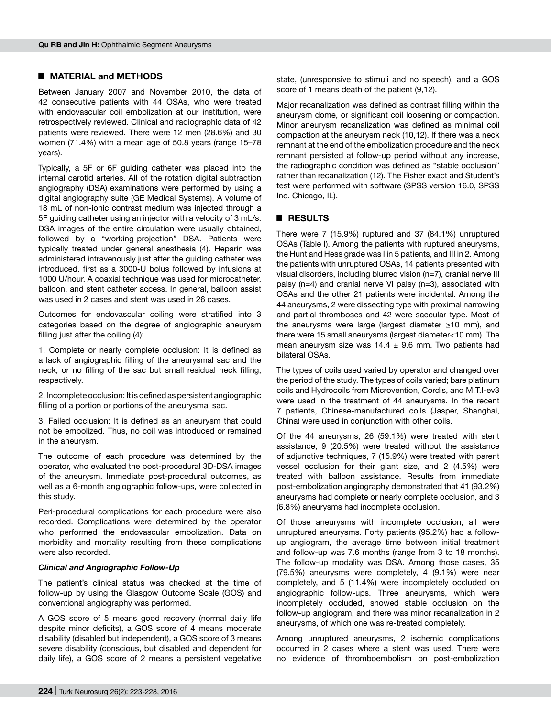## █ **MATERIAL and METHODS**

Between January 2007 and November 2010, the data of 42 consecutive patients with 44 OSAs, who were treated with endovascular coil embolization at our institution, were retrospectively reviewed. Clinical and radiographic data of 42 patients were reviewed. There were 12 men (28.6%) and 30 women (71.4%) with a mean age of 50.8 years (range 15–78 years).

Typically, a 5F or 6F guiding catheter was placed into the internal carotid arteries. All of the rotation digital subtraction angiography (DSA) examinations were performed by using a digital angiography suite (GE Medical Systems). A volume of 18 mL of non-ionic contrast medium was injected through a 5F guiding catheter using an injector with a velocity of 3 mL/s. DSA images of the entire circulation were usually obtained, followed by a "working-projection" DSA. Patients were typically treated under general anesthesia (4). Heparin was administered intravenously just after the guiding catheter was introduced, first as a 3000-U bolus followed by infusions at 1000 U/hour. A coaxial technique was used for microcatheter, balloon, and stent catheter access. In general, balloon assist was used in 2 cases and stent was used in 26 cases.

Outcomes for endovascular coiling were stratified into 3 categories based on the degree of angiographic aneurysm filling just after the coiling (4):

1. Complete or nearly complete occlusion: It is defined as a lack of angiographic filling of the aneurysmal sac and the neck, or no filling of the sac but small residual neck filling, respectively.

2. Incomplete occlusion: It is defined as persistent angiographic filling of a portion or portions of the aneurysmal sac.

3. Failed occlusion: It is defined as an aneurysm that could not be embolized. Thus, no coil was introduced or remained in the aneurysm.

The outcome of each procedure was determined by the operator, who evaluated the post-procedural 3D-DSA images of the aneurysm. Immediate post-procedural outcomes, as well as a 6-month angiographic follow-ups, were collected in this study.

Peri-procedural complications for each procedure were also recorded. Complications were determined by the operator who performed the endovascular embolization. Data on morbidity and mortality resulting from these complications were also recorded.

#### *Clinical and Angiographic Follow-Up*

The patient's clinical status was checked at the time of follow-up by using the Glasgow Outcome Scale (GOS) and conventional angiography was performed.

A GOS score of 5 means good recovery (normal daily life despite minor deficits), a GOS score of 4 means moderate disability (disabled but independent), a GOS score of 3 means severe disability (conscious, but disabled and dependent for daily life), a GOS score of 2 means a persistent vegetative state, (unresponsive to stimuli and no speech), and a GOS score of 1 means death of the patient (9,12).

Major recanalization was defined as contrast filling within the aneurysm dome, or significant coil loosening or compaction. Minor aneurysm recanalization was defined as minimal coil compaction at the aneurysm neck (10,12). If there was a neck remnant at the end of the embolization procedure and the neck remnant persisted at follow-up period without any increase, the radiographic condition was defined as "stable occlusion" rather than recanalization (12). The Fisher exact and Student's test were performed with software (SPSS version 16.0, SPSS Inc. Chicago, IL).

## █ **RESULTS**

There were 7 (15.9%) ruptured and 37 (84.1%) unruptured OSAs (Table I). Among the patients with ruptured aneurysms, the Hunt and Hess grade was I in 5 patients, and III in 2. Among the patients with unruptured OSAs, 14 patients presented with visual disorders, including blurred vision (n=7), cranial nerve III palsy (n=4) and cranial nerve VI palsy (n=3), associated with OSAs and the other 21 patients were incidental. Among the 44 aneurysms, 2 were dissecting type with proximal narrowing and partial thromboses and 42 were saccular type. Most of the aneurysms were large (largest diameter ≥10 mm), and there were 15 small aneurysms (largest diameter<10 mm). The mean aneurysm size was  $14.4 \pm 9.6$  mm. Two patients had bilateral OSAs.

The types of coils used varied by operator and changed over the period of the study. The types of coils varied; bare platinum coils and Hydrocoils from Microvention, Cordis, and M.T.I-ev3 were used in the treatment of 44 aneurysms. In the recent 7 patients, Chinese-manufactured coils (Jasper, Shanghai, China) were used in conjunction with other coils.

Of the 44 aneurysms, 26 (59.1%) were treated with stent assistance, 9 (20.5%) were treated without the assistance of adjunctive techniques, 7 (15.9%) were treated with parent vessel occlusion for their giant size, and 2 (4.5%) were treated with balloon assistance. Results from immediate post-embolization angiography demonstrated that 41 (93.2%) aneurysms had complete or nearly complete occlusion, and 3 (6.8%) aneurysms had incomplete occlusion.

Of those aneurysms with incomplete occlusion, all were unruptured aneurysms. Forty patients (95.2%) had a followup angiogram, the average time between initial treatment and follow-up was 7.6 months (range from 3 to 18 months). The follow-up modality was DSA. Among those cases, 35 (79.5%) aneurysms were completely, 4 (9.1%) were near completely, and 5 (11.4%) were incompletely occluded on angiographic follow-ups. Three aneurysms, which were incompletely occluded, showed stable occlusion on the follow-up angiogram, and there was minor recanalization in 2 aneurysms, of which one was re-treated completely.

Among unruptured aneurysms, 2 ischemic complications occurred in 2 cases where a stent was used. There were no evidence of thromboembolism on post-embolization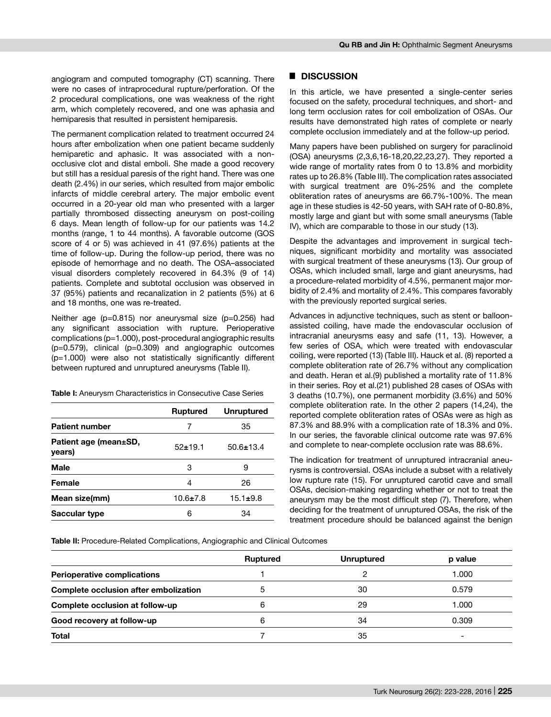angiogram and computed tomography (CT) scanning. There were no cases of intraprocedural rupture/perforation. Of the 2 procedural complications, one was weakness of the right arm, which completely recovered, and one was aphasia and hemiparesis that resulted in persistent hemiparesis.

The permanent complication related to treatment occurred 24 hours after embolization when one patient became suddenly hemiparetic and aphasic. It was associated with a nonocclusive clot and distal emboli. She made a good recovery but still has a residual paresis of the right hand. There was one death (2.4%) in our series, which resulted from major embolic infarcts of middle cerebral artery. The major embolic event occurred in a 20-year old man who presented with a larger partially thrombosed dissecting aneurysm on post-coiling 6 days. Mean length of follow-up for our patients was 14.2 months (range, 1 to 44 months). A favorable outcome (GOS score of 4 or 5) was achieved in 41 (97.6%) patients at the time of follow-up. During the follow-up period, there was no episode of hemorrhage and no death. The OSA–associated visual disorders completely recovered in 64.3% (9 of 14) patients. Complete and subtotal occlusion was observed in 37 (95%) patients and recanalization in 2 patients (5%) at 6 and 18 months, one was re-treated.

Neither age (p=0.815) nor aneurysmal size (p=0.256) had any significant association with rupture. Perioperative complications (p=1.000), post-procedural angiographic results (p=0.579), clinical (p=0.309) and angiographic outcomes (p=1.000) were also not statistically significantly different between ruptured and unruptured aneurysms (Table II).

**Table I:** Aneurysm Characteristics in Consecutive Case Series

|                                 | <b>Ruptured</b> | <b>Unruptured</b> |
|---------------------------------|-----------------|-------------------|
| <b>Patient number</b>           | 7               | 35                |
| Patient age (mean±SD,<br>years) | $52+19.1$       | $50.6 \pm 13.4$   |
| <b>Male</b>                     | 3               | 9                 |
| Female                          | 4               | 26                |
| Mean size(mm)                   | $10.6 \pm 7.8$  | $15.1 \pm 9.8$    |
| Saccular type                   | 6               | 34                |

### █ **DISCUSSION**

In this article, we have presented a single-center series focused on the safety, procedural techniques, and short- and long term occlusion rates for coil embolization of OSAs. Our results have demonstrated high rates of complete or nearly complete occlusion immediately and at the follow-up period.

Many papers have been published on surgery for paraclinoid (OSA) aneurysms (2,3,6,16-18,20,22,23,27). They reported a wide range of mortality rates from 0 to 13.8% and morbidity rates up to 26.8% (Table III). The complication rates associated with surgical treatment are 0%-25% and the complete obliteration rates of aneurysms are 66.7%-100%. The mean age in these studies is 42-50 years, with SAH rate of 0-80.8%, mostly large and giant but with some small aneurysms (Table IV), which are comparable to those in our study (13).

Despite the advantages and improvement in surgical techniques, significant morbidity and mortality was associated with surgical treatment of these aneurysms (13). Our group of OSAs, which included small, large and giant aneurysms, had a procedure-related morbidity of 4.5%, permanent major morbidity of 2.4% and mortality of 2.4%. This compares favorably with the previously reported surgical series.

Advances in adjunctive techniques, such as stent or balloonassisted coiling, have made the endovascular occlusion of intracranial aneurysms easy and safe (11, 13). However, a few series of OSA, which were treated with endovascular coiling, were reported (13) (Table III). Hauck et al. (8) reported a complete obliteration rate of 26.7% without any complication and death. Heran et al.(9) published a mortality rate of 11.8% in their series. Roy et al.(21) published 28 cases of OSAs with 3 deaths (10.7%), one permanent morbidity (3.6%) and 50% complete obliteration rate. In the other 2 papers (14,24), the reported complete obliteration rates of OSAs were as high as 87.3% and 88.9% with a complication rate of 18.3% and 0%. In our series, the favorable clinical outcome rate was 97.6% and complete to near-complete occlusion rate was 88.6%.

The indication for treatment of unruptured intracranial aneurysms is controversial. OSAs include a subset with a relatively low rupture rate (15). For unruptured carotid cave and small OSAs, decision-making regarding whether or not to treat the aneurysm may be the most difficult step (7). Therefore, when deciding for the treatment of unruptured OSAs, the risk of the treatment procedure should be balanced against the benign

**Table II:** Procedure-Related Complications, Angiographic and Clinical Outcomes

|                                       | Ruptured | <b>Unruptured</b> | p value                  |
|---------------------------------------|----------|-------------------|--------------------------|
| <b>Perioperative complications</b>    |          |                   | 1.000                    |
| Complete occlusion after embolization |          | 30                | 0.579                    |
| Complete occlusion at follow-up       | 6        | 29                | 1.000                    |
| Good recovery at follow-up            | 6        | 34                | 0.309                    |
| <b>Total</b>                          |          | 35                | $\overline{\phantom{0}}$ |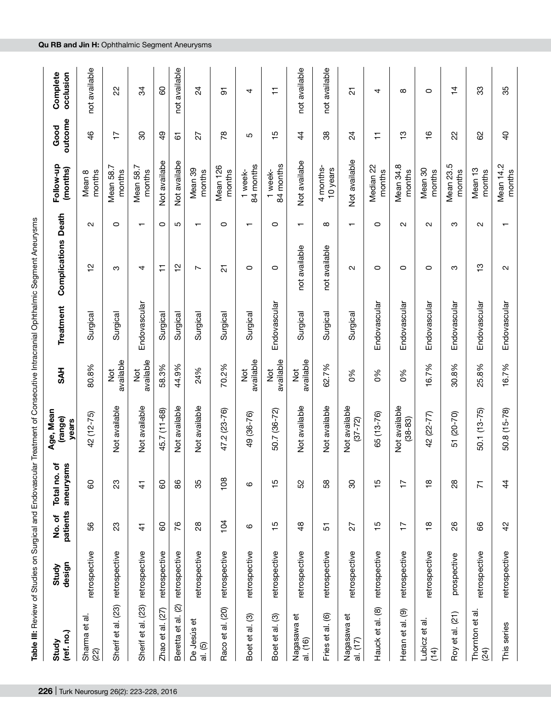|                                            |                 |                   |                               | Table III: Review of Studies on Surgical and Endovascular Treatment of Consecutive Intracranial Ophthalmic Segment Aneurysms |                            |              |                                    |                          |                              |                 |                       |
|--------------------------------------------|-----------------|-------------------|-------------------------------|------------------------------------------------------------------------------------------------------------------------------|----------------------------|--------------|------------------------------------|--------------------------|------------------------------|-----------------|-----------------------|
| (ref. no.)<br>Study                        | design<br>Study | patients<br>No.of | ৳<br>aneurysms<br>Total no.   | Age, Mean<br>(range)<br>years                                                                                                | <b>HYS</b>                 | Treatment    | Complications                      | Death                    | Follow-up<br>(months)        | outcome<br>Good | Complete<br>occlusion |
| Sharma et al.<br>(22)                      | retrospective   | S6                | 8                             | 42 (12-75)                                                                                                                   | 80.8%                      | Surgical     | $\sim$<br>$\overline{\phantom{0}}$ | $\sim$                   | Mean 8<br>months             | $\frac{4}{6}$   | not available         |
| Sherif et al. (23)                         | retrospective   | 23                | ಔ                             | Not available                                                                                                                | available<br>$\frac{1}{2}$ | Surgical     | ო                                  | $\circ$                  | Mean 58.7<br>months          | $\overline{1}$  | S                     |
| Sherif et al. (23)                         | retrospective   | $\frac{4}{1}$     | $\frac{4}{5}$                 | Not available                                                                                                                | available<br>to<br>Z       | Endovascular | 4                                  | $\mathbf -$              | Mean 58.7<br>months          | 30              | 34                    |
| Zhao et al. $(27)$                         | retrospective   | 60                | 60                            | 45.7 (11-68)                                                                                                                 | 58.3%                      | Surgical     | Ξ                                  | $\circ$                  | Not availabe                 | $\frac{9}{4}$   | 8                     |
| $\mathfrak{D}$<br>Beretta et al.           | retrospective   | 76                | 86                            | Not available                                                                                                                | 44.9%                      | Surgical     | $\frac{1}{2}$                      | Ю                        | Not availabe                 | 61              | not available         |
| De Jesús et<br>al. (5)                     | retrospective   | $^{28}$           | 35                            | Not available                                                                                                                | 24%                        | Surgical     | $\overline{ }$                     | $\overline{\phantom{0}}$ | Mean 39<br>months            | 27              | $\overline{2}$        |
| al. (20)<br>Raco et                        | retrospective   | 104               | 108                           | 47.2 (23-76)                                                                                                                 | 70.2%                      | Surgical     | 21                                 | 0                        | Mean 126<br>months           | $\frac{8}{1}$   | 5                     |
| Boet et al. (3)                            | retrospective   | ဖ                 | ဖ                             | 49 (36-76)                                                                                                                   | available<br>$\frac{5}{2}$ | Surgical     | 0                                  | $\mathbf -$              | 84 months<br>week-           | Ю               | 4                     |
| Boet et al. (3)                            | retrospective   | $\frac{15}{2}$    | Ю<br>$\overline{ }$           | 50.7 (36-72)                                                                                                                 | available<br>$\frac{5}{2}$ | Endovascular | $\circ$                            | $\circ$                  | 84 months<br>week-           | $\frac{15}{2}$  | Ξ                     |
| $\vec{\mathbb{e}}$<br>Nagasawa<br>al. (16) | retrospective   | $\frac{8}{3}$     | 52                            | Not available                                                                                                                | available<br>$\frac{5}{2}$ | Surgical     | not available                      | $\overline{\phantom{0}}$ | Not availabe                 | $\frac{4}{3}$   | not available         |
| Fries et al. (6)                           | retrospective   | 5                 | 58                            | Not available                                                                                                                | 62.7%                      | Surgical     | not available                      | $\infty$                 | 4 months-<br>10 years        | 8               | not available         |
| đ<br>Nagasawa<br>al. (17)                  | retrospective   | 27                | 80                            | Not available<br>$(37 - 72)$                                                                                                 | $\frac{8}{3}$              | Surgical     | $\mathbf{\Omega}$                  | $\overline{\phantom{0}}$ | Not available                | $\overline{2}$  | $\overline{\Omega}$   |
| al. (8)<br>Hauck et                        | retrospective   | 15                | Ю<br>$\overline{\phantom{0}}$ | 65 (13-76)                                                                                                                   | $\delta$                   | Endovascular | 0                                  | $\circ$                  | Median 22<br>months          | Ξ               | 4                     |
| $\circledcirc$<br>Heran et al.             | retrospective   | $\ddot{}$         | $\overline{1}$                | Not available<br>$(38 - 83)$                                                                                                 | 0%                         | Endovascular | O                                  | $\sim$                   | Mean 34.8<br>months          | $\frac{1}{2}$   | $^\infty$             |
| ಕ<br>Lubicz et<br>(14)                     | retrospective   | $\frac{8}{1}$     | $\infty$<br>$\overline{ }$    | 42 (22-77)                                                                                                                   | 16.7%                      | Endovascular | $\circ$                            | $\mathbf{\Omega}$        | Mean 30<br>months            | $\frac{6}{1}$   | $\circ$               |
| Roy et al. (21)                            | prospective     | 88                | $\frac{8}{2}$                 | $(20 - 70)$<br>51                                                                                                            | 30.8%                      | Endovascular | ო                                  | ო                        | Mean 23.5<br>months          | 22              | $\frac{4}{4}$         |
| Thornton et al<br>(24)                     | retrospective   | 89                | $\overline{K}$                | 50.1 (13-75)                                                                                                                 | 25.8%                      | Endovascular | ဗ္                                 | $\sim$                   | Mean <sub>13</sub><br>months | 8               | 33                    |
| This series                                | retrospective   | $\frac{2}{3}$     | $\frac{4}{3}$                 | 50.8 (15-78)                                                                                                                 | 16.7%                      | Endovascular | $\mathbf{\Omega}$                  |                          | Mean 14.2<br>months          | $\overline{a}$  | 35                    |

#### **Qu RB and Jin H :** Ophthalmic Segment Aneurysms

**226** | Turk Neurosurg 26(2): 223-228, 2016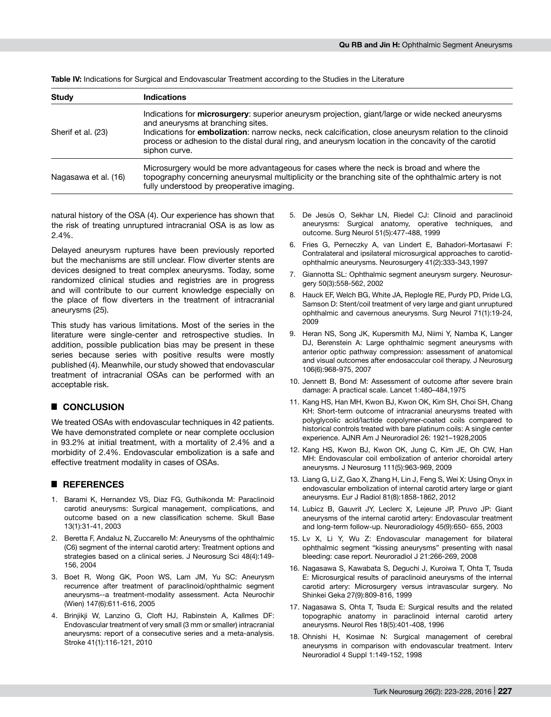| <b>Study</b>         | Indications                                                                                                                                                                                                                                                                                                                                                                     |
|----------------------|---------------------------------------------------------------------------------------------------------------------------------------------------------------------------------------------------------------------------------------------------------------------------------------------------------------------------------------------------------------------------------|
| Sherif et al. (23)   | Indications for microsurgery: superior aneurysm projection, giant/large or wide necked aneurysms<br>and aneurysms at branching sites.<br>Indications for <b>embolization</b> : narrow necks, neck calcification, close aneurysm relation to the clinoid<br>process or adhesion to the distal dural ring, and aneurysm location in the concavity of the carotid<br>siphon curve. |
| Nagasawa et al. (16) | Microsurgery would be more advantageous for cases where the neck is broad and where the<br>topography concerning aneurysmal multiplicity or the branching site of the ophthalmic artery is not<br>fully understood by preoperative imaging.                                                                                                                                     |

**Table IV:** Indications for Surgical and Endovascular Treatment according to the Studies in the Literature

natural history of the OSA (4). Our experience has shown that the risk of treating unruptured intracranial OSA is as low as 2.4%.

Delayed aneurysm ruptures have been previously reported but the mechanisms are still unclear. Flow diverter stents are devices designed to treat complex aneurysms. Today, some randomized clinical studies and registries are in progress and will contribute to our current knowledge especially on the place of flow diverters in the treatment of intracranial aneurysms (25).

This study has various limitations. Most of the series in the literature were single-center and retrospective studies. In addition, possible publication bias may be present in these series because series with positive results were mostly published (4). Meanwhile, our study showed that endovascular treatment of intracranial OSAs can be performed with an acceptable risk.

## █ **CONCLUSION**

We treated OSAs with endovascular techniques in 42 patients. We have demonstrated complete or near complete occlusion in 93.2% at initial treatment, with a mortality of 2.4% and a morbidity of 2.4%. Endovascular embolization is a safe and effective treatment modality in cases of OSAs.

#### █ **REFERENCES**

- 1. Barami K, Hernandez VS, Diaz FG, Guthikonda M: Paraclinoid carotid aneurysms: Surgical management, complications, and outcome based on a new classification scheme. Skull Base 13(1):31-41, 2003
- 2. Beretta F, Andaluz N, Zuccarello M: Aneurysms of the ophthalmic (C6) segment of the internal carotid artery: Treatment options and strategies based on a clinical series. J Neurosurg Sci 48(4):149- 156, 2004
- 3. Boet R, Wong GK, Poon WS, Lam JM, Yu SC: Aneurysm recurrence after treatment of paraclinoid/ophthalmic segment aneurysms--a treatment-modality assessment. Acta Neurochir (Wien) 147(6):611-616, 2005
- 4. Brinjikji W, Lanzino G, Cloft HJ, Rabinstein A, Kallmes DF: Endovascular treatment of very small (3 mm or smaller) intracranial aneurysms: report of a consecutive series and a meta-analysis. Stroke 41(1):116-121, 2010
- 5. De Jesús O, Sekhar LN, Riedel CJ: Clinoid and paraclinoid aneurysms: Surgical anatomy, operative techniques, and outcome. Surg Neurol 51(5):477-488, 1999
- 6. Fries G, Perneczky A, van Lindert E, Bahadori-Mortasawi F: Contralateral and ipsilateral microsurgical approaches to carotidophthalmic aneurysms. Neurosurgery 41(2):333-343,1997
- 7. Giannotta SL: Ophthalmic segment aneurysm surgery. Neurosurgery 50(3):558-562, 2002
- 8. Hauck EF, Welch BG, White JA, Replogle RE, Purdy PD, Pride LG, Samson D: Stent/coil treatment of very large and giant unruptured ophthalmic and cavernous aneurysms. Surg Neurol 71(1):19-24, 2009
- 9. Heran NS, Song JK, Kupersmith MJ, Niimi Y, Namba K, Langer DJ, Berenstein A: Large ophthalmic segment aneurysms with anterior optic pathway compression: assessment of anatomical and visual outcomes after endosaccular coil therapy. J Neurosurg 106(6):968-975, 2007
- 10. Jennett B, Bond M: Assessment of outcome after severe brain damage: A practical scale. Lancet 1:480–484,1975
- 11. Kang HS, Han MH, Kwon BJ, Kwon OK, Kim SH, Choi SH, Chang KH: Short-term outcome of intracranial aneurysms treated with polyglycolic acid/lactide copolymer-coated coils compared to historical controls treated with bare platinum coils: A single center experience. AJNR Am J Neuroradiol 26: 1921–1928,2005
- 12. Kang HS, Kwon BJ, Kwon OK, Jung C, Kim JE, Oh CW, Han MH: Endovascular coil embolization of anterior choroidal artery aneurysms. J Neurosurg 111(5):963-969, 2009
- 13. Liang G, Li Z, Gao X, Zhang H, Lin J, Feng S, Wei X: Using Onyx in endovascular embolization of internal carotid artery large or giant aneurysms. Eur J Radiol 81(8):1858-1862, 2012
- 14. Lubicz B, Gauvrit JY, Leclerc X, Lejeune JP, Pruvo JP: Giant aneurysms of the internal carotid artery: Endovascular treatment and long-term follow-up. Neuroradiology 45(9):650- 655, 2003
- 15. Lv X, Li Y, Wu Z: Endovascular management for bilateral ophthalmic segment "kissing aneurysms" presenting with nasal bleeding: case report. Neuroradiol J 21:266-269, 2008
- 16. Nagasawa S, Kawabata S, Deguchi J, Kuroiwa T, Ohta T, Tsuda E: Microsurgical results of paraclinoid aneurysms of the internal carotid artery: Microsurgery versus intravascular surgery. No Shinkei Geka 27(9):809-816, 1999
- 17. Nagasawa S, Ohta T, Tsuda E: Surgical results and the related topographic anatomy in paraclinoid internal carotid artery aneurysms. Neurol Res 18(5):401-408, 1996
- 18. Ohnishi H, Kosimae N: Surgical management of cerebral aneurysms in comparison with endovascular treatment. Interv Neuroradiol 4 Suppl 1:149-152, 1998